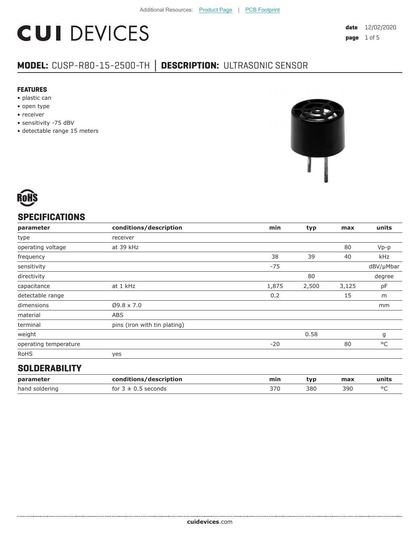# **CUI DEVICES**

### **MODEL:** CUSP-R80-15-2500-TH **│ DESCRIPTION:** ULTRASONIC SENSOR

#### **FEATURES**

- plastic can
- open type
- receiver
- sensitivity -75 dBV
- detectable range 15 meters





#### **SPECIFICATIONS**

| units<br>max |
|--------------|
|              |
| 80<br>$Vp-p$ |
| kHz<br>40    |
| dBV/µMbar    |
| degree       |
| 3,125<br>pF  |
| 15<br>m      |
| mm           |
|              |
|              |
| g            |
| °C<br>80     |
|              |
|              |

#### **SOLDERABILITY**

| parameter      | conditions/description         | min | tvp | max | units |
|----------------|--------------------------------|-----|-----|-----|-------|
| hand soldering | seconds -<br>for $3 \pm 0.5$ . | 370 | 380 | 390 |       |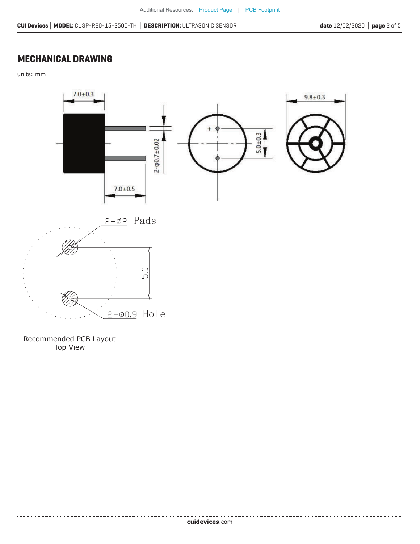#### **MECHANICAL DRAWING**

units: mm



Recommended PCB Layout Top View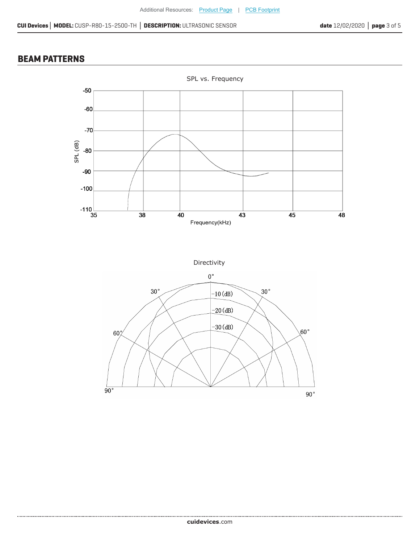#### **BEAM PATTERNS**

....................



Directivity

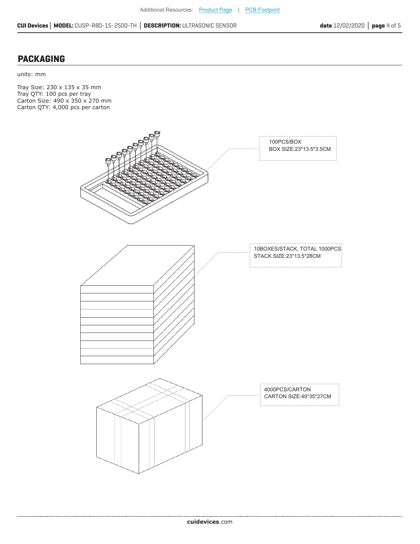#### **PACKAGING**

units: mm

Tray Size: 230 x 135 x 35 mm Tray QTY: 100 pcs per tray Carton Size: 490 x 350 x 270 mm Carton QTY: 4,000 pcs per carton